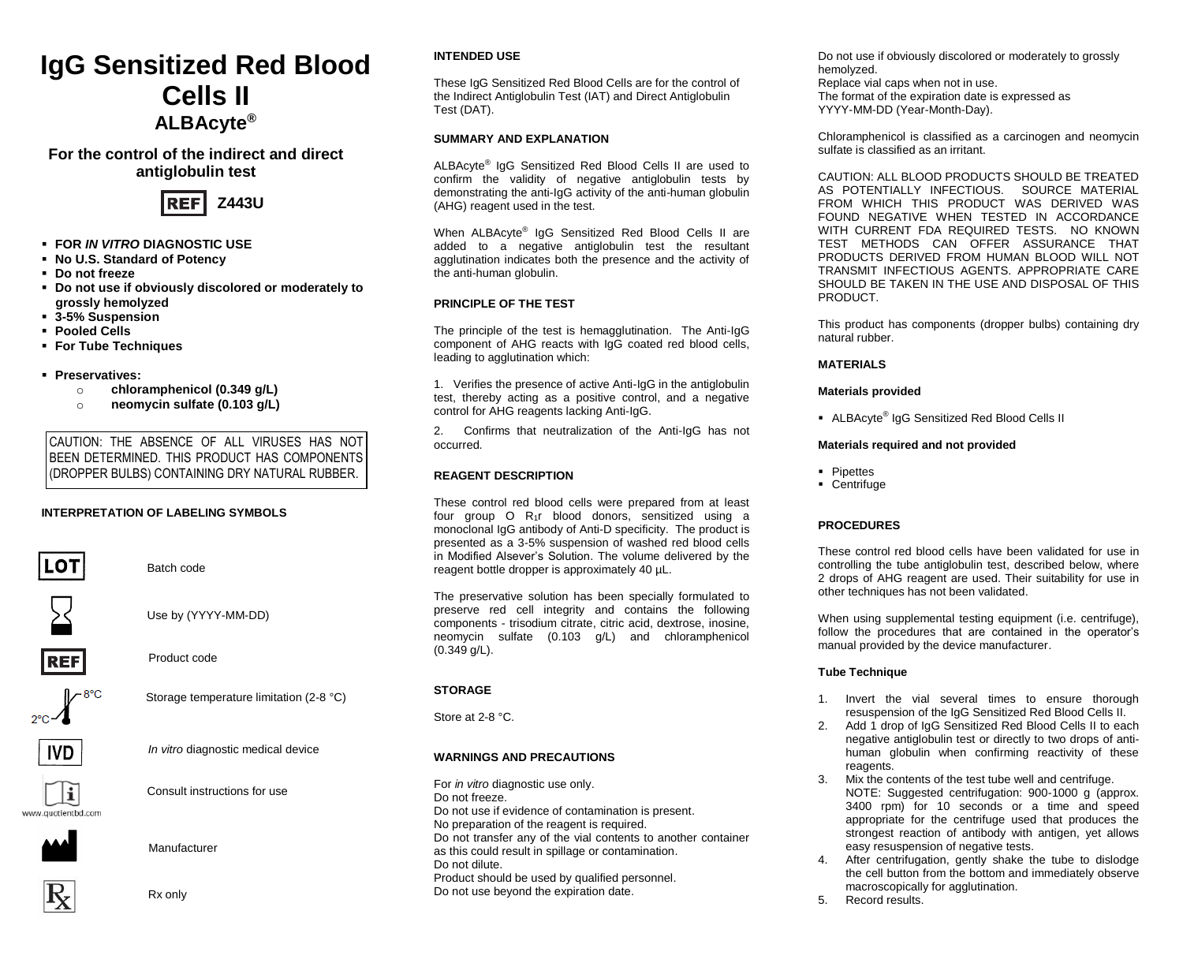# **IgG Sensitized Red Blood Cells II ALBAcyte®**

# **For the control of the indirect and direct antiglobulin test**



- **FOR** *IN VITRO* **DIAGNOSTIC USE**
- **No U.S. Standard of Potency**
- **Do not freeze**
- **Do not use if obviously discolored or moderately to grossly hemolyzed**
- **3-5% Suspension**
- **Pooled Cells**
- **For Tube Techniques**
- **Preservatives:** 
	- o **chloramphenicol (0.349 g/L)**
	- o **neomycin sulfate (0.103 g/L)**

CAUTION: THE ABSENCE OF ALL VIRUSES HAS NOT BEEN DETERMINED. THIS PRODUCT HAS COMPONENTS (DROPPER BULBS) CONTAINING DRY NATURAL RUBBER.

## **INTERPRETATION OF LABELING SYMBOLS**



Batch code

Use by (YYYY-MM-DD)



Product code



Storage temperature limitation (2-8 °C)



*In vitro* diagnostic medical device



Consult instructions for use

www.auatienthd.com



Manufacturer



Rx only

# **INTENDED USE**

These IgG Sensitized Red Blood Cells are for the control of the Indirect Antiglobulin Test (IAT) and Direct Antiglobulin Test (DAT).

# **SUMMARY AND EXPLANATION**

ALBAcyte® IgG Sensitized Red Blood Cells II are used to confirm the validity of negative antiglobulin tests by demonstrating the anti-IgG activity of the anti-human globulin (AHG) reagent used in the test.

When ALBAcyte® IgG Sensitized Red Blood Cells II are added to a negative antiglobulin test the resultant agglutination indicates both the presence and the activity of the anti-human globulin.

# **PRINCIPLE OF THE TEST**

The principle of the test is hemagglutination. The Anti-IgG component of AHG reacts with IgG coated red blood cells, leading to agglutination which:

1. Verifies the presence of active Anti-IgG in the antiglobulin test, thereby acting as a positive control, and a negative control for AHG reagents lacking Anti-IgG.

2. Confirms that neutralization of the Anti-IgG has not occurred.

## **REAGENT DESCRIPTION**

These control red blood cells were prepared from at least four group O R<sub>1</sub>r blood donors, sensitized using a monoclonal IgG antibody of Anti-D specificity. The product is presented as a 3-5% suspension of washed red blood cells in Modified Alsever's Solution. The volume delivered by the reagent bottle dropper is approximately 40 µL.

The preservative solution has been specially formulated to preserve red cell integrity and contains the following components - trisodium citrate, citric acid, dextrose, inosine, neomycin sulfate (0.103 g/L) and chloramphenicol (0.349 g/L).

# **STORAGE**

Store at 2-8 °C.

# **WARNINGS AND PRECAUTIONS**

For *in vitro* diagnostic use only. Do not freeze. Do not use if evidence of contamination is present. No preparation of the reagent is required. Do not transfer any of the vial contents to another container as this could result in spillage or contamination. Do not dilute. Product should be used by qualified personnel. Do not use beyond the expiration date.

Do not use if obviously discolored or moderately to grossly hemolyzed. Replace vial caps when not in use. The format of the expiration date is expressed as YYYY-MM-DD (Year-Month-Day).

Chloramphenicol is classified as a carcinogen and neomycin sulfate is classified as an irritant.

CAUTION: ALL BLOOD PRODUCTS SHOULD BE TREATED AS POTENTIALLY INFECTIOUS. SOURCE MATERIAL FROM WHICH THIS PRODUCT WAS DERIVED WAS FOUND NEGATIVE WHEN TESTED IN ACCORDANCE WITH CURRENT FDA REQUIRED TESTS. NO KNOWN TEST METHODS CAN OFFER ASSURANCE THAT PRODUCTS DERIVED FROM HUMAN BLOOD WILL NOT TRANSMIT INFECTIOUS AGENTS. APPROPRIATE CARE SHOULD BE TAKEN IN THE USE AND DISPOSAL OF THIS **PRODUCT.** 

This product has components (dropper bulbs) containing dry natural rubber.

## **MATERIALS**

## **Materials provided**

■ ALBAcyte<sup>®</sup> IgG Sensitized Red Blood Cells II

# **Materials required and not provided**

- Pipettes
- Centrifuge

# **PROCEDURES**

These control red blood cells have been validated for use in controlling the tube antiglobulin test, described below, where 2 drops of AHG reagent are used. Their suitability for use in other techniques has not been validated.

When using supplemental testing equipment (i.e. centrifuge), follow the procedures that are contained in the operator's manual provided by the device manufacturer.

# **Tube Technique**

- 1. Invert the vial several times to ensure thorough resuspension of the IgG Sensitized Red Blood Cells II.
- Add 1 drop of IgG Sensitized Red Blood Cells II to each negative antiglobulin test or directly to two drops of antihuman globulin when confirming reactivity of these reagents.
- 3. Mix the contents of the test tube well and centrifuge. NOTE: Suggested centrifugation: 900-1000 g (approx. 3400 rpm) for 10 seconds or a time and speed appropriate for the centrifuge used that produces the strongest reaction of antibody with antigen, yet allows easy resuspension of negative tests.
- After centrifugation, gently shake the tube to dislodge the cell button from the bottom and immediately observe macroscopically for agglutination.
- 5. Record results.